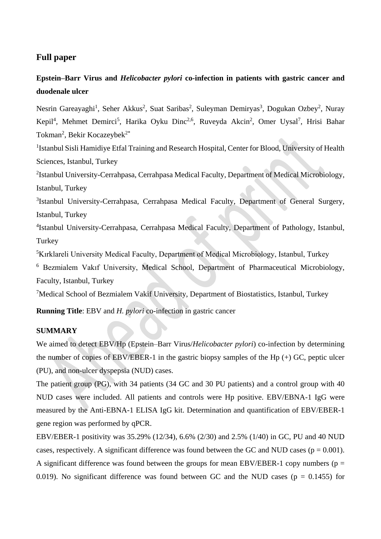## **Full paper**

# **Epstein–Barr Virus and** *Helicobacter pylori* **co-infection in patients with gastric cancer and duodenale ulcer**

Nesrin Gareayaghi<sup>1</sup>, Seher Akkus<sup>2</sup>, Suat Saribas<sup>2</sup>, Suleyman Demiryas<sup>3</sup>, Dogukan Ozbey<sup>2</sup>, Nuray Kepil<sup>4</sup>, Mehmet Demirci<sup>5</sup>, Harika Oyku Dinc<sup>2,6</sup>, Ruveyda Akcin<sup>2</sup>, Omer Uysal<sup>7</sup>, Hrisi Bahar Tokman<sup>2</sup>, Bekir Kocazeybek<sup>2\*</sup>

<sup>1</sup>Istanbul Sisli Hamidiye Etfal Training and Research Hospital, Center for Blood, University of Health Sciences, Istanbul, Turkey

<sup>2</sup>Istanbul University-Cerrahpasa, Cerrahpasa Medical Faculty, Department of Medical Microbiology, Istanbul, Turkey

<sup>3</sup>Istanbul University-Cerrahpasa, Cerrahpasa Medical Faculty, Department of General Surgery, Istanbul, Turkey

4 Istanbul University-Cerrahpasa, Cerrahpasa Medical Faculty, Department of Pathology, Istanbul, **Turkey** 

<sup>5</sup>Kırklareli University Medical Faculty, Department of Medical Microbiology, Istanbul, Turkey

<sup>6</sup> Bezmialem Vakıf University, Medical School, Department of Pharmaceutical Microbiology, Faculty, Istanbul, Turkey

<sup>7</sup>Medical School of Bezmialem Vakif University, Department of Biostatistics, Istanbul, Turkey

**Running Title**: EBV and *H. pylori* co-infection in gastric cancer

#### **SUMMARY**

We aimed to detect EBV/Hp (Epstein–Barr Virus/*Helicobacter pylori*) co-infection by determining the number of copies of EBV/EBER-1 in the gastric biopsy samples of the Hp  $(+)$  GC, peptic ulcer (PU), and non-ulcer dyspepsia (NUD) cases.

The patient group (PG), with 34 patients (34 GC and 30 PU patients) and a control group with 40 NUD cases were included. All patients and controls were Hp positive. EBV/EBNA-1 IgG were measured by the Anti-EBNA-1 ELISA IgG kit. Determination and quantification of EBV/EBER-1 gene region was performed by qPCR.

EBV/EBER-1 positivity was 35.29% (12/34), 6.6% (2/30) and 2.5% (1/40) in GC, PU and 40 NUD cases, respectively. A significant difference was found between the GC and NUD cases ( $p = 0.001$ ). A significant difference was found between the groups for mean EBV/EBER-1 copy numbers ( $p =$ 0.019). No significant difference was found between GC and the NUD cases ( $p = 0.1455$ ) for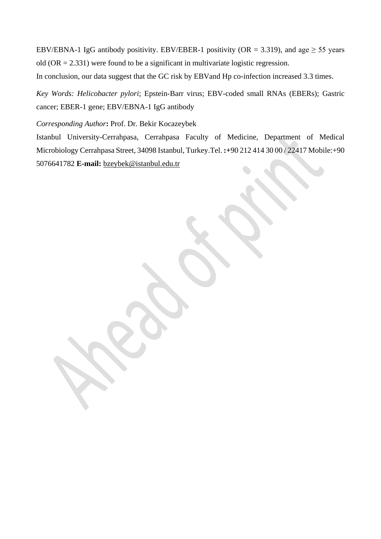EBV/EBNA-1 IgG antibody positivity. EBV/EBER-1 positivity (OR = 3.319), and age  $\geq$  55 years old  $(OR = 2.331)$  were found to be a significant in multivariate logistic regression.

In conclusion, our data suggest that the GC risk by EBVand Hp co-infection increased 3.3 times.

*Key Words: Helicobacter pylori*; Epstein-Barr virus; EBV-coded small RNAs (EBERs); Gastric cancer; EBER-1 gene; EBV/EBNA-1 IgG antibody

*Corresponding Author***:** Prof. Dr. Bekir Kocazeybek

Istanbul University-Cerrahpasa, Cerrahpasa Faculty of Medicine, Department of Medical Microbiology Cerrahpasa Street, 34098 Istanbul, Turkey.Tel. **:+**90 212 414 30 00 / 22417 Mobile:+90 5076641782 **E-mail:** [bzeybek@istanbul.edu.tr](mailto:bzeybek@istanbul.edu.tr)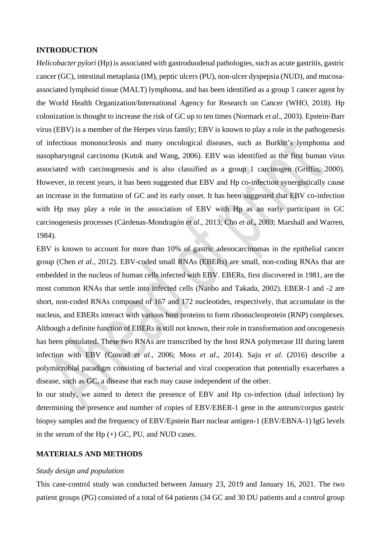### **INTRODUCTION**

*Helicobacter pylori* (Hp) is associated with gastroduodenal pathologies, such as acute gastritis, gastric cancer (GC), intestinal metaplasia (IM), peptic ulcers (PU), non-ulcer dyspepsia (NUD), and mucosaassociated lymphoid tissue (MALT) lymphoma, and has been identified as a group 1 cancer agent by the World Health Organization/International Agency for Research on Cancer (WHO, 2018). Hp colonization is thought to increase the risk of GC up to ten times (Normark *et al.,* 2003). Epstein-Barr virus (EBV) is a member of the Herpes virus family; EBV is known to play a role in the pathogenesis of infectious mononucleosis and many oncological diseases, such as Burkitt's lymphoma and nasopharyngeal carcinoma (Kutok and Wang, 2006). EBV was identified as the first human virus associated with carcinogenesis and is also classified as a group 1 carcinogen (Griffin, 2000). However, in recent years, it has been suggested that EBV and Hp co-infection synergistically cause an increase in the formation of GC and its early onset. It has been suggested that EBV co-infection with Hp may play a role in the association of EBV with Hp as an early participant in GC carcinogenesis processes (Cárdenas-Mondragón *et al*., 2013; Cho *et al*., 2003; Marshall and Warren, 1984).

EBV is known to account for more than 10% of gastric adenocarcinomas in the epithelial cancer group (Chen *et al*., 2012). EBV-coded small RNAs (EBERs) are small, non-coding RNAs that are embedded in the nucleus of human cells infected with EBV. EBERs, first discovered in 1981, are the most common RNAs that settle into infected cells (Nanbo and Takada, 2002). EBER-1 and -2 are short, non-coded RNAs composed of 167 and 172 nucleotides, respectively, that accumulate in the nucleus, and EBERs interact with various host proteins to form ribonucleoprotein (RNP) complexes. Although a definite function of EBERs is still not known, their role in transformation and oncogenesis has been postulated. These two RNAs are transcribed by the host RNA polymerase III during latent infection with EBV (Conrad *et al*., 2006; Moss *et al*., 2014). Saju *et al*. (2016) describe a polymicrobial paradigm consisting of bacterial and viral cooperation that potentially exacerbates a disease, such as GC, a disease that each may cause independent of the other.

In our study, we aimed to detect the presence of EBV and Hp co-infection (dual infection) by determining the presence and number of copies of EBV/EBER-1 gene in the antrum/corpus gastric biopsy samples and the frequency of EBV/Epstein Barr nuclear antigen-1 (EBV/EBNA-1) IgG levels in the serum of the H $p (+)$  GC, PU, and NUD cases.

### **MATERIALS AND METHODS**

#### *Study design and population*

This case-control study was conducted between January 23, 2019 and January 16, 2021. The two patient groups (PG) consisted of a total of 64 patients (34 GC and 30 DU patients and a control group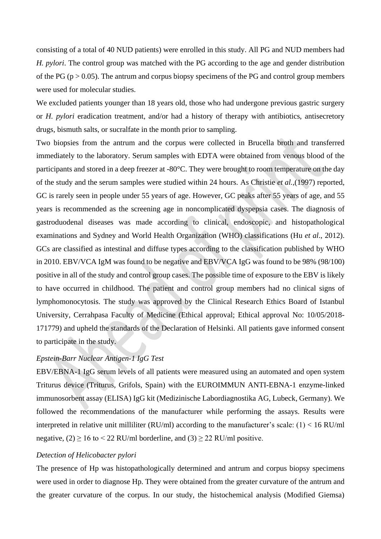consisting of a total of 40 NUD patients) were enrolled in this study. All PG and NUD members had *H. pylori*. The control group was matched with the PG according to the age and gender distribution of the PG ( $p > 0.05$ ). The antrum and corpus biopsy specimens of the PG and control group members were used for molecular studies.

We excluded patients younger than 18 years old, those who had undergone previous gastric surgery or *H. pylori* eradication treatment, and/or had a history of therapy with antibiotics, antisecretory drugs, bismuth salts, or sucralfate in the month prior to sampling.

Two biopsies from the antrum and the corpus were collected in Brucella broth and transferred immediately to the laboratory. Serum samples with EDTA were obtained from venous blood of the participants and stored in a deep freezer at -80°C. They were brought to room temperature on the day of the study and the serum samples were studied within 24 hours. As Christie *et al.,*(1997) reported, GC is rarely seen in people under 55 years of age. However, GC peaks after 55 years of age, and 55 years is recommended as the screening age in noncomplicated dyspepsia cases. The diagnosis of gastroduodenal diseases was made according to clinical, endoscopic, and histopathological examinations and Sydney and World Health Organization (WHO) classifications (Hu *et al*., 2012). GCs are classified as intestinal and diffuse types according to the classification published by WHO in 2010. EBV/VCA IgM was found to be negative and EBV/VCA IgG was found to be 98% (98/100) positive in all of the study and control group cases. The possible time of exposure to the EBV is likely to have occurred in childhood. The patient and control group members had no clinical signs of lymphomonocytosis. The study was approved by the Clinical Research Ethics Board of Istanbul University, Cerrahpasa Faculty of Medicine (Ethical approval; Ethical approval No: 10/05/2018- 171779) and upheld the standards of the Declaration of Helsinki. All patients gave informed consent to participate in the study.

## *Epstein-Barr Nuclear Antigen-1 IgG Test*

EBV/EBNA-1 IgG serum levels of all patients were measured using an automated and open system Triturus device (Triturus, Grifols, Spain) with the EUROIMMUN ANTI-EBNA-1 enzyme-linked immunosorbent assay (ELISA) IgG kit (Medizinische Labordiagnostika AG, Lubeck, Germany). We followed the recommendations of the manufacturer while performing the assays. Results were interpreted in relative unit milliliter (RU/ml) according to the manufacturer's scale:  $(1) < 16$  RU/ml negative,  $(2)$  > 16 to < 22 RU/ml borderline, and  $(3)$  > 22 RU/ml positive.

#### *Detection of Helicobacter pylori*

The presence of Hp was histopathologically determined and antrum and corpus biopsy specimens were used in order to diagnose Hp. They were obtained from the greater curvature of the antrum and the greater curvature of the corpus. In our study, the histochemical analysis (Modified Giemsa)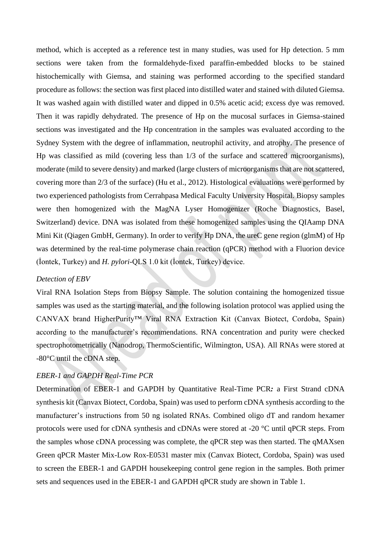method, which is accepted as a reference test in many studies, was used for Hp detection. 5 mm sections were taken from the formaldehyde-fixed paraffin-embedded blocks to be stained histochemically with Giemsa, and staining was performed according to the specified standard procedure as follows: the section was first placed into distilled water and stained with diluted Giemsa. It was washed again with distilled water and dipped in 0.5% acetic acid; excess dye was removed. Then it was rapidly dehydrated. The presence of Hp on the mucosal surfaces in Giemsa-stained sections was investigated and the Hp concentration in the samples was evaluated according to the Sydney System with the degree of inflammation, neutrophil activity, and atrophy. The presence of Hp was classified as mild (covering less than 1/3 of the surface and scattered microorganisms), moderate (mild to severe density) and marked (large clusters of microorganisms that are not scattered, covering more than 2/3 of the surface) (Hu et al., 2012). Histological evaluations were performed by two experienced pathologists from Cerrahpasa Medical Faculty University Hospital. Biopsy samples were then homogenized with the MagNA Lyser Homogenizer (Roche Diagnostics, Basel, Switzerland) device. DNA was isolated from these homogenized samples using the QIAamp DNA Mini Kit (Qiagen GmbH, Germany). In order to verify Hp DNA, the ureC gene region (glmM) of Hp was determined by the real-time polymerase chain reaction (qPCR) method with a Fluorion device (İontek, Turkey) and *H. pylori*-QLS 1.0 kit (İontek, Turkey) device.

### *Detection of EBV*

Viral RNA Isolation Steps from Biopsy Sample. The solution containing the homogenized tissue samples was used as the starting material, and the following isolation protocol was applied using the CANVAX brand HigherPurity™ Viral RNA Extraction Kit (Canvax Biotect, Cordoba, Spain) according to the manufacturer's recommendations. RNA concentration and purity were checked spectrophotometrically (Nanodrop, ThermoScientific, Wilmington, USA). All RNAs were stored at -80°C until the cDNA step.

### *EBER-1 and GAPDH Real-Time PCR*

Determination of EBER-1 and GAPDH by Quantitative Real-Time PCR*:* a First Strand cDNA synthesis kit (Canvax Biotect, Cordoba, Spain) was used to perform cDNA synthesis according to the manufacturer's instructions from 50 ng isolated RNAs. Combined oligo dT and random hexamer protocols were used for cDNA synthesis and cDNAs were stored at -20 °C until qPCR steps. From the samples whose cDNA processing was complete, the qPCR step was then started. The qMAXsen Green qPCR Master Mix-Low Rox-E0531 master mix (Canvax Biotect, Cordoba, Spain) was used to screen the EBER-1 and GAPDH housekeeping control gene region in the samples. Both primer sets and sequences used in the EBER-1 and GAPDH qPCR study are shown in Table 1.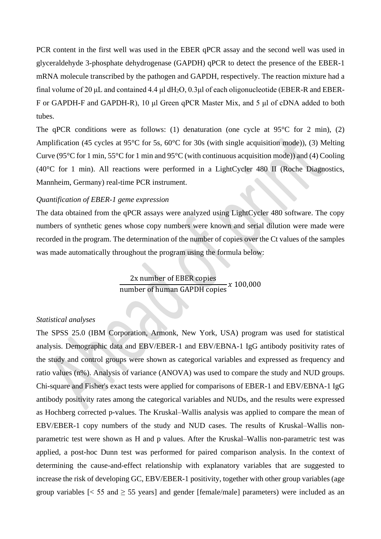PCR content in the first well was used in the EBER qPCR assay and the second well was used in glyceraldehyde 3-phosphate dehydrogenase (GAPDH) qPCR to detect the presence of the EBER-1 mRNA molecule transcribed by the pathogen and GAPDH, respectively. The reaction mixture had a final volume of 20 μL and contained 4.4 μl dH2O, 0.3μl of each oligonucleotide (EBER-R and EBER-F or GAPDH-F and GAPDH-R), 10 μl Green qPCR Master Mix, and 5 μl of cDNA added to both tubes.

The qPCR conditions were as follows: (1) denaturation (one cycle at  $95^{\circ}$ C for 2 min), (2) Amplification (45 cycles at 95°C for 5s, 60°C for 30s (with single acquisition mode)), (3) Melting Curve (95 $\degree$ C for 1 min, 55 $\degree$ C for 1 min and 95 $\degree$ C (with continuous acquisition mode)) and (4) Cooling (40°C for 1 min). All reactions were performed in a LightCycler 480 II (Roche Diagnostics, Mannheim, Germany) real-time PCR instrument.

#### *Quantification of EBER-1 geme expression*

The data obtained from the qPCR assays were analyzed using LightCycler 480 software. The copy numbers of synthetic genes whose copy numbers were known and serial dilution were made were recorded in the program. The determination of the number of copies over the Ct values of the samples was made automatically throughout the program using the formula below:

> 2x number of EBER copies number of human GAPDH copies  $x\,100,000$

### *Statistical analyses*

The SPSS 25.0 (IBM Corporation, Armonk, New York, USA) program was used for statistical analysis. Demographic data and EBV/EBER-1 and EBV/EBNA-1 IgG antibody positivity rates of the study and control groups were shown as categorical variables and expressed as frequency and ratio values (n%). Analysis of variance (ANOVA) was used to compare the study and NUD groups. Chi-square and Fisher's exact tests were applied for comparisons of EBER-1 and EBV/EBNA-1 IgG antibody positivity rates among the categorical variables and NUDs, and the results were expressed as Hochberg corrected p-values. The Kruskal–Wallis analysis was applied to compare the mean of EBV/EBER-1 copy numbers of the study and NUD cases. The results of Kruskal–Wallis nonparametric test were shown as H and p values. After the Kruskal–Wallis non-parametric test was applied, a post-hoc Dunn test was performed for paired comparison analysis. In the context of determining the cause-and-effect relationship with explanatory variables that are suggested to increase the risk of developing GC, EBV/EBER-1 positivity, together with other group variables (age group variables  $\leq 55$  and  $\geq 55$  years] and gender [female/male] parameters) were included as an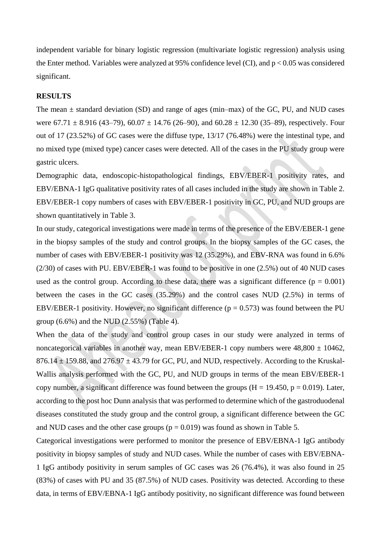independent variable for binary logistic regression (multivariate logistic regression) analysis using the Enter method. Variables were analyzed at 95% confidence level (CI), and  $p < 0.05$  was considered significant.

#### **RESULTS**

The mean  $\pm$  standard deviation (SD) and range of ages (min–max) of the GC, PU, and NUD cases were  $67.71 \pm 8.916$  (43–79),  $60.07 \pm 14.76$  (26–90), and  $60.28 \pm 12.30$  (35–89), respectively. Four out of 17 (23.52%) of GC cases were the diffuse type, 13/17 (76.48%) were the intestinal type, and no mixed type (mixed type) cancer cases were detected. All of the cases in the PU study group were gastric ulcers.

Demographic data, endoscopic-histopathological findings, EBV/EBER-1 positivity rates, and EBV/EBNA-1 IgG qualitative positivity rates of all cases included in the study are shown in Table 2. EBV/EBER-1 copy numbers of cases with EBV/EBER-1 positivity in GC, PU, and NUD groups are shown quantitatively in Table 3.

In our study, categorical investigations were made in terms of the presence of the EBV/EBER-1 gene in the biopsy samples of the study and control groups. In the biopsy samples of the GC cases, the number of cases with EBV/EBER-1 positivity was 12 (35.29%), and EBV-RNA was found in 6.6% (2/30) of cases with PU. EBV/EBER-1 was found to be positive in one (2.5%) out of 40 NUD cases used as the control group. According to these data, there was a significant difference  $(p = 0.001)$ between the cases in the GC cases (35.29%) and the control cases NUD (2.5%) in terms of EBV/EBER-1 positivity. However, no significant difference ( $p = 0.573$ ) was found between the PU group  $(6.6\%)$  and the NUD  $(2.55\%)$  (Table 4).

When the data of the study and control group cases in our study were analyzed in terms of noncategorical variables in another way, mean EBV/EBER-1 copy numbers were  $48,800 \pm 10462$ ,  $876.14 \pm 159.88$ , and  $276.97 \pm 43.79$  for GC, PU, and NUD, respectively. According to the Kruskal-Wallis analysis performed with the GC, PU, and NUD groups in terms of the mean EBV/EBER-1 copy number, a significant difference was found between the groups  $(H = 19.450, p = 0.019)$ . Later, according to the post hoc Dunn analysis that was performed to determine which of the gastroduodenal diseases constituted the study group and the control group, a significant difference between the GC and NUD cases and the other case groups ( $p = 0.019$ ) was found as shown in Table 5.

Categorical investigations were performed to monitor the presence of EBV/EBNA-1 IgG antibody positivity in biopsy samples of study and NUD cases. While the number of cases with EBV/EBNA-1 IgG antibody positivity in serum samples of GC cases was 26 (76.4%), it was also found in 25 (83%) of cases with PU and 35 (87.5%) of NUD cases. Positivity was detected. According to these data, in terms of EBV/EBNA-1 IgG antibody positivity, no significant difference was found between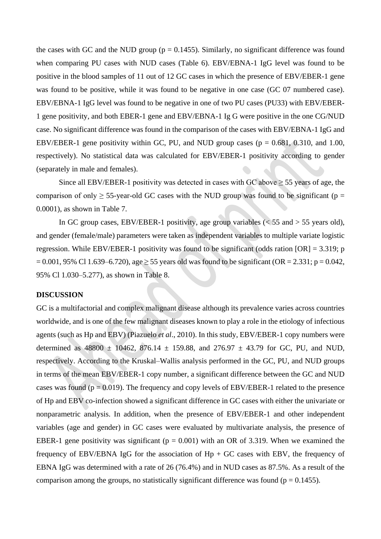the cases with GC and the NUD group ( $p = 0.1455$ ). Similarly, no significant difference was found when comparing PU cases with NUD cases (Table 6). EBV/EBNA-1 IgG level was found to be positive in the blood samples of 11 out of 12 GC cases in which the presence of EBV/EBER-1 gene was found to be positive, while it was found to be negative in one case (GC 07 numbered case). EBV/EBNA-1 IgG level was found to be negative in one of two PU cases (PU33) with EBV/EBER-1 gene positivity, and both EBER-1 gene and EBV/EBNA-1 Ig G were positive in the one CG/NUD case. No significant difference was found in the comparison of the cases with EBV/EBNA-1 IgG and EBV/EBER-1 gene positivity within GC, PU, and NUD group cases ( $p = 0.681$ , 0.310, and 1.00, respectively). No statistical data was calculated for EBV/EBER-1 positivity according to gender (separately in male and females).

Since all EBV/EBER-1 positivity was detected in cases with GC above  $\geq$  55 years of age, the comparison of only  $\geq$  55-year-old GC cases with the NUD group was found to be significant (p = 0.0001), as shown in Table 7.

In GC group cases, EBV/EBER-1 positivity, age group variables  $\ll$  55 and  $>$  55 years old), and gender (female/male) parameters were taken as independent variables to multiple variate logistic regression. While EBV/EBER-1 positivity was found to be significant (odds ration [OR] = 3.319; p  $= 0.001, 95\%$  Cl 1.639–6.720), age  $\ge 55$  years old was found to be significant (OR = 2.331; p = 0.042, 95% Cl 1.030–5.277), as shown in Table 8.

#### **DISCUSSION**

GC is a multifactorial and complex malignant disease although its prevalence varies across countries worldwide, and is one of the few malignant diseases known to play a role in the etiology of infectious agents (such as Hp and EBV) (Piazuelo *et al*., 2010). In this study, EBV/EBER-1 copy numbers were determined as  $48800 \pm 10462$ ,  $876.14 \pm 159.88$ , and  $276.97 \pm 43.79$  for GC, PU, and NUD, respectively. According to the Kruskal–Wallis analysis performed in the GC, PU, and NUD groups in terms of the mean EBV/EBER-1 copy number, a significant difference between the GC and NUD cases was found ( $p = 0.019$ ). The frequency and copy levels of EBV/EBER-1 related to the presence of Hp and EBV co-infection showed a significant difference in GC cases with either the univariate or nonparametric analysis. In addition, when the presence of EBV/EBER-1 and other independent variables (age and gender) in GC cases were evaluated by multivariate analysis, the presence of EBER-1 gene positivity was significant ( $p = 0.001$ ) with an OR of 3.319. When we examined the frequency of EBV/EBNA IgG for the association of  $Hp + GC$  cases with EBV, the frequency of EBNA IgG was determined with a rate of 26 (76.4%) and in NUD cases as 87.5%. As a result of the comparison among the groups, no statistically significant difference was found ( $p = 0.1455$ ).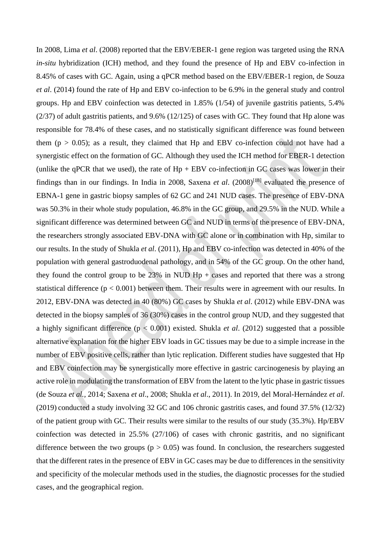In 2008, Lima *et al*. (2008) reported that the EBV/EBER-1 gene region was targeted using the RNA *in-situ* hybridization (ICH) method, and they found the presence of Hp and EBV co-infection in 8.45% of cases with GC. Again, using a qPCR method based on the EBV/EBER-1 region, de Souza *et al*. (2014) found the rate of Hp and EBV co-infection to be 6.9% in the general study and control groups. Hp and EBV coinfection was detected in 1.85% (1/54) of juvenile gastritis patients, 5.4% (2/37) of adult gastritis patients, and 9.6% (12/125) of cases with GC. They found that Hp alone was responsible for 78.4% of these cases, and no statistically significant difference was found between them ( $p > 0.05$ ); as a result, they claimed that Hp and EBV co-infection could not have had a synergistic effect on the formation of GC. Although they used the ICH method for EBER-1 detection (unlike the qPCR that we used), the rate of  $Hp + EBV$  co-infection in GC cases was lower in their findings than in our findings. In India in 2008, Saxena *et al*. (2008)[18] evaluated the presence of EBNA-1 gene in gastric biopsy samples of 62 GC and 241 NUD cases. The presence of EBV-DNA was 50.3% in their whole study population, 46.8% in the GC group, and 29.5% in the NUD. While a significant difference was determined between GC and NUD in terms of the presence of EBV-DNA, the researchers strongly associated EBV-DNA with GC alone or in combination with Hp, similar to our results. In the study of Shukla *et al*. (2011), Hp and EBV co-infection was detected in 40% of the population with general gastroduodenal pathology, and in 54% of the GC group. On the other hand, they found the control group to be  $23\%$  in NUD Hp + cases and reported that there was a strong statistical difference ( $p < 0.001$ ) between them. Their results were in agreement with our results. In 2012, EBV-DNA was detected in 40 (80%) GC cases by Shukla *et al*. (2012) while EBV-DNA was detected in the biopsy samples of 36 (30%) cases in the control group NUD, and they suggested that a highly significant difference (p < 0.001) existed. Shukla *et al*. (2012) suggested that a possible alternative explanation for the higher EBV loads in GC tissues may be due to a simple increase in the number of EBV positive cells, rather than lytic replication. Different studies have suggested that Hp and EBV coinfection may be synergistically more effective in gastric carcinogenesis by playing an active role in modulating the transformation of EBV from the latent to the lytic phase in gastric tissues (de Souza *et al.,* 2014; Saxena *et al*., 2008; Shukla *et al*., 2011). In 2019, del Moral-Hernández *et al*. (2019) conducted a study involving 32 GC and 106 chronic gastritis cases, and found 37.5% (12/32) of the patient group with GC. Their results were similar to the results of our study (35.3%). Hp/EBV coinfection was detected in 25.5% (27/106) of cases with chronic gastritis, and no significant difference between the two groups  $(p > 0.05)$  was found. In conclusion, the researchers suggested that the different rates in the presence of EBV in GC cases may be due to differences in the sensitivity and specificity of the molecular methods used in the studies, the diagnostic processes for the studied cases, and the geographical region.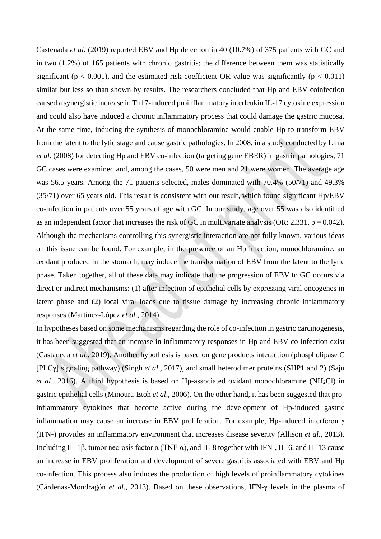Castenada *et al*. (2019) reported EBV and Hp detection in 40 (10.7%) of 375 patients with GC and in two (1.2%) of 165 patients with chronic gastritis; the difference between them was statistically significant ( $p < 0.001$ ), and the estimated risk coefficient OR value was significantly ( $p < 0.011$ ) similar but less so than shown by results. The researchers concluded that Hp and EBV coinfection caused a synergistic increase in Th17-induced proinflammatory interleukin IL-17 cytokine expression and could also have induced a chronic inflammatory process that could damage the gastric mucosa. At the same time, inducing the synthesis of monochloramine would enable Hp to transform EBV from the latent to the lytic stage and cause gastric pathologies. In 2008, in a study conducted by Lima *et al*. (2008) for detecting Hp and EBV co-infection (targeting gene EBER) in gastric pathologies, 71 GC cases were examined and, among the cases, 50 were men and 21 were women. The average age was 56.5 years. Among the 71 patients selected, males dominated with 70.4% (50/71) and 49.3% (35/71) over 65 years old. This result is consistent with our result, which found significant Hp/EBV co-infection in patients over 55 years of age with GC. In our study, age over 55 was also identified as an independent factor that increases the risk of GC in multivariate analysis (OR: 2.331,  $p = 0.042$ ). Although the mechanisms controlling this synergistic interaction are not fully known, various ideas on this issue can be found. For example, in the presence of an Hp infection, monochloramine, an oxidant produced in the stomach, may induce the transformation of EBV from the latent to the lytic phase. Taken together, all of these data may indicate that the progression of EBV to GC occurs via direct or indirect mechanisms: (1) after infection of epithelial cells by expressing viral oncogenes in latent phase and (2) local viral loads due to tissue damage by increasing chronic inflammatory responses (Martínez-López *et al*., 2014).

In hypotheses based on some mechanisms regarding the role of co-infection in gastric carcinogenesis, it has been suggested that an increase in inflammatory responses in Hp and EBV co-infection exist (Castaneda *et al*., 2019). Another hypothesis is based on gene products interaction (phospholipase C [PLCγ] signaling pathway) (Singh *et al*., 2017), and small heterodimer proteins (SHP1 and 2) (Saju *et al*., 2016). A third hypothesis is based on Hp-associated oxidant monochloramine (NH2Cl) in gastric epithelial cells (Minoura-Etoh *et al*., 2006). On the other hand, it has been suggested that proinflammatory cytokines that become active during the development of Hp-induced gastric inflammation may cause an increase in EBV proliferation. For example, Hp-induced interferon γ (IFN-) provides an inflammatory environment that increases disease severity (Allison *et al*., 2013). Including IL-1β, tumor necrosis factor  $\alpha$  (TNF- $\alpha$ ), and IL-8 together with IFN-, IL-6, and IL-13 cause an increase in EBV proliferation and development of severe gastritis associated with EBV and Hp co-infection. This process also induces the production of high levels of proinflammatory cytokines (Cárdenas-Mondragón *et al*., 2013). Based on these observations, IFN-γ levels in the plasma of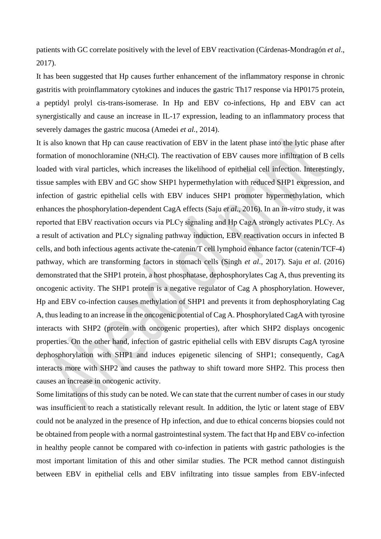patients with GC correlate positively with the level of EBV reactivation (Cárdenas-Mondragón *et al*., 2017).

It has been suggested that Hp causes further enhancement of the inflammatory response in chronic gastritis with proinflammatory cytokines and induces the gastric Th17 response via HP0175 protein, a peptidyl prolyl cis-trans-isomerase. In Hp and EBV co-infections, Hp and EBV can act synergistically and cause an increase in IL-17 expression, leading to an inflammatory process that severely damages the gastric mucosa (Amedei *et al.,* 2014).

It is also known that Hp can cause reactivation of EBV in the latent phase into the lytic phase after formation of monochloramine (NH2Cl). The reactivation of EBV causes more infiltration of B cells loaded with viral particles, which increases the likelihood of epithelial cell infection. Interestingly, tissue samples with EBV and GC show SHP1 hypermethylation with reduced SHP1 expression, and infection of gastric epithelial cells with EBV induces SHP1 promoter hypermethylation, which enhances the phosphorylation-dependent CagA effects (Saju *et al*., 2016). In an *in-vitro* study, it was reported that EBV reactivation occurs via PLCγ signaling and Hp CagA strongly activates PLCγ. As a result of activation and PLCγ signaling pathway induction, EBV reactivation occurs in infected B cells, and both infectious agents activate the-catenin/T cell lymphoid enhance factor (catenin/TCF-4) pathway, which are transforming factors in stomach cells (Singh *et al*., 2017). Saju *et al*. (2016) demonstrated that the SHP1 protein, a host phosphatase, dephosphorylates Cag A, thus preventing its oncogenic activity. The SHP1 protein is a negative regulator of Cag A phosphorylation. However, Hp and EBV co-infection causes methylation of SHP1 and prevents it from dephosphorylating Cag A, thus leading to an increase in the oncogenic potential of Cag A. Phosphorylated CagA with tyrosine interacts with SHP2 (protein with oncogenic properties), after which SHP2 displays oncogenic properties. On the other hand, infection of gastric epithelial cells with EBV disrupts CagA tyrosine dephosphorylation with SHP1 and induces epigenetic silencing of SHP1; consequently, CagA interacts more with SHP2 and causes the pathway to shift toward more SHP2. This process then causes an increase in oncogenic activity.

Some limitations of this study can be noted. We can state that the current number of cases in our study was insufficient to reach a statistically relevant result. In addition, the lytic or latent stage of EBV could not be analyzed in the presence of Hp infection, and due to ethical concerns biopsies could not be obtained from people with a normal gastrointestinal system. The fact that Hp and EBV co-infection in healthy people cannot be compared with co-infection in patients with gastric pathologies is the most important limitation of this and other similar studies. The PCR method cannot distinguish between EBV in epithelial cells and EBV infiltrating into tissue samples from EBV-infected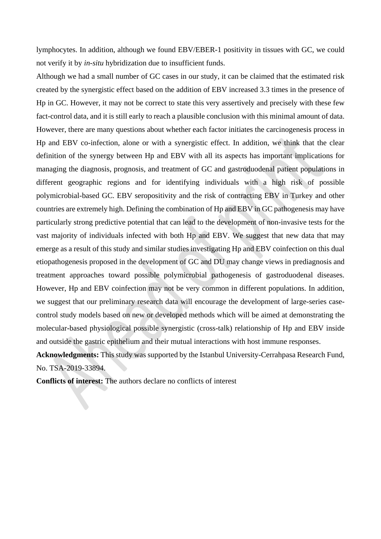lymphocytes. In addition, although we found EBV/EBER-1 positivity in tissues with GC, we could not verify it by *in-situ* hybridization due to insufficient funds.

Although we had a small number of GC cases in our study, it can be claimed that the estimated risk created by the synergistic effect based on the addition of EBV increased 3.3 times in the presence of Hp in GC. However, it may not be correct to state this very assertively and precisely with these few fact-control data, and it is still early to reach a plausible conclusion with this minimal amount of data. However, there are many questions about whether each factor initiates the carcinogenesis process in Hp and EBV co-infection, alone or with a synergistic effect. In addition, we think that the clear definition of the synergy between Hp and EBV with all its aspects has important implications for managing the diagnosis, prognosis, and treatment of GC and gastroduodenal patient populations in different geographic regions and for identifying individuals with a high risk of possible polymicrobial-based GC. EBV seropositivity and the risk of contracting EBV in Turkey and other countries are extremely high. Defining the combination of Hp and EBV in GC pathogenesis may have particularly strong predictive potential that can lead to the development of non-invasive tests for the vast majority of individuals infected with both Hp and EBV. We suggest that new data that may emerge as a result of this study and similar studies investigating Hp and EBV coinfection on this dual etiopathogenesis proposed in the development of GC and DU may change views in prediagnosis and treatment approaches toward possible polymicrobial pathogenesis of gastroduodenal diseases. However, Hp and EBV coinfection may not be very common in different populations. In addition, we suggest that our preliminary research data will encourage the development of large-series casecontrol study models based on new or developed methods which will be aimed at demonstrating the molecular-based physiological possible synergistic (cross-talk) relationship of Hp and EBV inside and outside the gastric epithelium and their mutual interactions with host immune responses.

**Acknowledgments:** This study was supported by the Istanbul University-Cerrahpasa Research Fund, No. TSA-2019-33894.

**Conflicts of interest:** The authors declare no conflicts of interest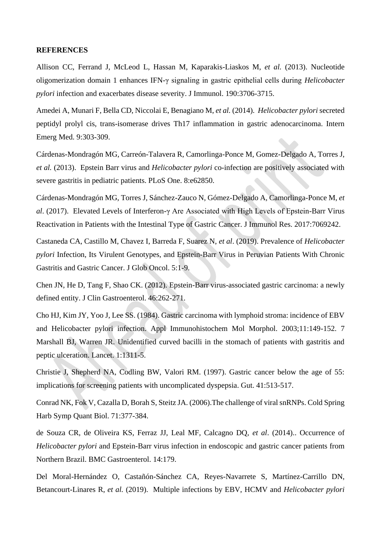#### **REFERENCES**

Allison CC, Ferrand J, McLeod L, Hassan M, Kaparakis-Liaskos M, *et al.* (2013). Nucleotide oligomerization domain 1 enhances IFN-γ signaling in gastric epithelial cells during *Helicobacter pylori* infection and exacerbates disease severity. J Immunol. 190:3706-3715.

Amedei A, Munari F, Bella CD, Niccolai E, Benagiano M, *et al.* (2014). *Helicobacter pylori* secreted peptidyl prolyl cis, trans-isomerase drives Th17 inflammation in gastric adenocarcinoma. Intern Emerg Med. 9:303-309.

Cárdenas-Mondragón MG, Carreón-Talavera R, Camorlinga-Ponce M, Gomez-Delgado A, Torres J, *et al.* (2013). Epstein Barr virus and *Helicobacter pylori* co-infection are positively associated with severe gastritis in pediatric patients. PLoS One. 8:e62850.

Cárdenas-Mondragón MG, Torres J, Sánchez-Zauco N, Gómez-Delgado A, Camorlinga-Ponce M, *et al*. (2017). Elevated Levels of Interferon-γ Are Associated with High Levels of Epstein-Barr Virus Reactivation in Patients with the Intestinal Type of Gastric Cancer. J Immunol Res. 2017:7069242.

Castaneda CA, Castillo M, Chavez I, Barreda F, Suarez N, *et al*. (2019). Prevalence of *Helicobacter pylori* Infection, Its Virulent Genotypes, and Epstein-Barr Virus in Peruvian Patients With Chronic Gastritis and Gastric Cancer. J Glob Oncol. 5:1-9.

Chen JN, He D, Tang F, Shao CK. (2012). Epstein-Barr virus-associated gastric carcinoma: a newly defined entity. J Clin Gastroenterol. 46:262-271.

Cho HJ, Kim JY, Yoo J, Lee SS. (1984). Gastric carcinoma with lymphoid stroma: incidence of EBV and Helicobacter pylori infection. Appl Immunohistochem Mol Morphol. 2003;11:149-152. 7 Marshall BJ, Warren JR. Unidentified curved bacilli in the stomach of patients with gastritis and peptic ulceration. Lancet. 1:1311-5.

Christie J, Shepherd NA, Codling BW, Valori RM. (1997). Gastric cancer below the age of 55: implications for screening patients with uncomplicated dyspepsia. Gut. 41:513-517.

Conrad NK, Fok V, Cazalla D, Borah S, Steitz JA. (2006).The challenge of viral snRNPs. Cold Spring Harb Symp Quant Biol. 71:377-384.

de Souza CR, de Oliveira KS, Ferraz JJ, Leal MF, Calcagno DQ, *et al*. (2014).. Occurrence of *Helicobacter pylori* and Epstein-Barr virus infection in endoscopic and gastric cancer patients from Northern Brazil. BMC Gastroenterol. 14:179.

Del Moral-Hernández O, Castañón-Sánchez CA, Reyes-Navarrete S, Martínez-Carrillo DN, Betancourt-Linares R, *et al.* (2019). Multiple infections by EBV, HCMV and *Helicobacter pylori*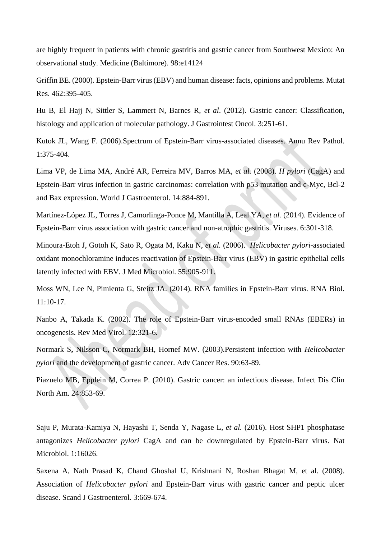are highly frequent in patients with chronic gastritis and gastric cancer from Southwest Mexico: An observational study. Medicine (Baltimore). 98:e14124

Griffin BE. (2000). Epstein-Barr virus (EBV) and human disease: facts, opinions and problems. Mutat Res. 462:395-405.

Hu B, El Hajj N, Sittler S, Lammert N, Barnes R, *et al*. (2012). Gastric cancer: Classification, histology and application of molecular pathology. J Gastrointest Oncol. 3:251-61.

Kutok JL, Wang F. (2006).Spectrum of Epstein-Barr virus-associated diseases. Annu Rev Pathol. 1:375-404.

Lima VP, de Lima MA, André AR, Ferreira MV, Barros MA, *et al.* (2008). *H pylori* (CagA) and Epstein-Barr virus infection in gastric carcinomas: correlation with p53 mutation and c-Myc, Bcl-2 and Bax expression. World J Gastroenterol. 14:884-891.

Martínez-López JL, Torres J, Camorlinga-Ponce M, Mantilla A, Leal YA, *et al.* (2014). Evidence of Epstein-Barr virus association with gastric cancer and non-atrophic gastritis. Viruses. 6:301-318.

Minoura-Etoh J, Gotoh K, Sato R, Ogata M, Kaku N, *et al.* (2006). *Helicobacter pylori*-associated oxidant monochloramine induces reactivation of Epstein-Barr virus (EBV) in gastric epithelial cells latently infected with EBV. J Med Microbiol. 55:905-911.

Moss WN, Lee N, Pimienta G, Steitz JA. (2014). RNA families in Epstein-Barr virus. RNA Biol. 11:10-17.

Nanbo A, Takada K. (2002). The role of Epstein-Barr virus-encoded small RNAs (EBERs) in oncogenesis. Rev Med Virol. 12:321-6.

Normark S**,** Nilsson C, Normark BH, Hornef MW. (2003).Persistent infection with *Helicobacter pylori* and the development of gastric cancer. Adv Cancer Res. 90:63-89.

Piazuelo MB, Epplein M, Correa P. (2010). Gastric cancer: an infectious disease. Infect Dis Clin North Am. 24:853-69.

Saju P, Murata-Kamiya N, Hayashi T, Senda Y, Nagase L, *et al.* (2016). Host SHP1 phosphatase antagonizes *Helicobacter pylori* CagA and can be downregulated by Epstein-Barr virus. Nat Microbiol. 1:16026.

Saxena A, Nath Prasad K, Chand Ghoshal U, Krishnani N, Roshan Bhagat M, et al. (2008). Association of *Helicobacter pylori* and Epstein-Barr virus with gastric cancer and peptic ulcer disease. Scand J Gastroenterol. 3:669-674.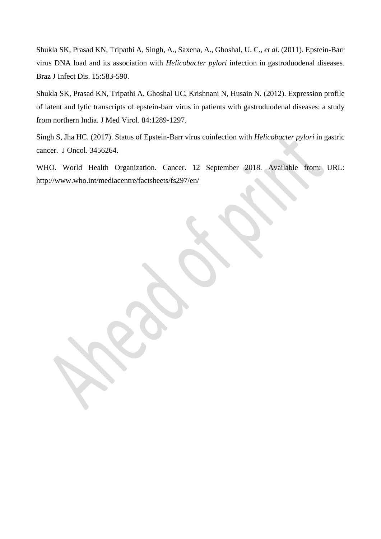Shukla SK, Prasad KN, Tripathi A, Singh, A., Saxena, A., Ghoshal, U. C., *et al.* (2011). Epstein-Barr virus DNA load and its association with *Helicobacter pylori* infection in gastroduodenal diseases. Braz J Infect Dis. 15:583-590.

Shukla SK, Prasad KN, Tripathi A, Ghoshal UC, Krishnani N, Husain N. (2012). Expression profile of latent and lytic transcripts of epstein-barr virus in patients with gastroduodenal diseases: a study from northern India. J Med Virol. 84:1289-1297.

Singh S, Jha HC. (2017). Status of Epstein-Barr virus coinfection with *Helicobacter pylori* in gastric cancer. J Oncol. 3456264.

WHO. World Health Organization. Cancer. 12 September 2018. Available from: URL: <http://www.who.int/mediacentre/factsheets/fs297/en/>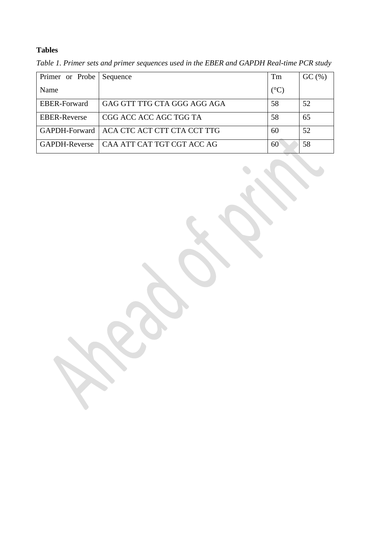# **Tables**

| Primer or Probe Sequence |                                             | Tm              | GC (%) |
|--------------------------|---------------------------------------------|-----------------|--------|
| Name                     |                                             | $({}^{\circ}C)$ |        |
| <b>EBER-Forward</b>      | GAG GTT TTG CTA GGG AGG AGA                 | 58              | 52     |
| <b>EBER-Reverse</b>      | CGG ACC ACC AGC TGG TA                      | 58              | 65     |
|                          | GAPDH-Forward   ACA CTC ACT CTT CTA CCT TTG | 60              | 52     |
| GAPDH-Reverse            | LCAA ATT CAT TGT CGT ACC AG                 | 60              | 58     |

*Table 1. Primer sets and primer sequences used in the EBER and GAPDH Real-time PCR study*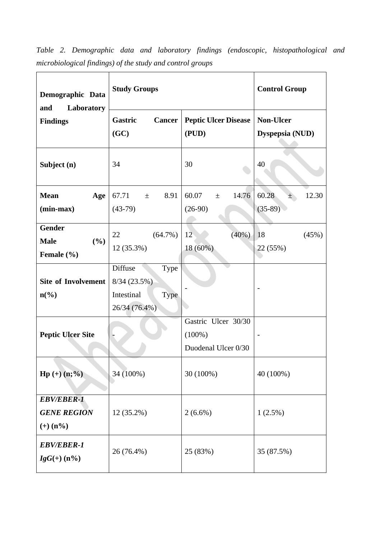| Demographic Data<br>and<br>Laboratory                     | <b>Study Groups</b>                                                                 | <b>Control Group</b>                                    |                                     |
|-----------------------------------------------------------|-------------------------------------------------------------------------------------|---------------------------------------------------------|-------------------------------------|
| <b>Findings</b>                                           | Gastric<br>Cancer<br>(GC)                                                           | <b>Peptic Ulcer Disease</b><br>(PUD)                    | <b>Non-Ulcer</b><br>Dyspepsia (NUD) |
| Subject (n)                                               | 34                                                                                  | 30                                                      | 40                                  |
| <b>Mean</b><br>Age<br>(min-max)                           | 67.71<br>8.91<br>土<br>$(43-79)$                                                     | 60.07<br>14.76<br>$\pm$<br>$(26-90)$                    | 60.28<br>12.30<br>士<br>$(35-89)$    |
| <b>Gender</b><br>(%)<br><b>Male</b><br>Female (%)         | 22<br>$(64.7\%)$<br>12 (35.3%)                                                      | (40%)<br>12<br>18 (60%)                                 | 18<br>(45%)<br>22 (55%)             |
| <b>Site of Involvement</b><br>$n\left(\frac{6}{6}\right)$ | Diffuse<br><b>Type</b><br>8/34(23.5%)<br>Intestinal<br><b>Type</b><br>26/34 (76.4%) |                                                         |                                     |
| <b>Peptic Ulcer Site</b>                                  |                                                                                     | Gastric Ulcer 30/30<br>$(100\%)$<br>Duodenal Ulcer 0/30 |                                     |
| $Hp (+) (n; %)$                                           | 34 (100%)                                                                           | 30 (100%)                                               | 40 (100%)                           |
| <b>EBV/EBER-1</b><br><b>GENE REGION</b><br>$(+)$ (n%)     | $12(35.2\%)$                                                                        | $2(6.6\%)$                                              | $1(2.5\%)$                          |
| <b>EBV/EBER-1</b><br>$IgG(+)$ (n%)                        | 26 (76.4%)                                                                          | 25 (83%)                                                | 35 (87.5%)                          |

*Table 2. Demographic data and laboratory findings (endoscopic, histopathological and microbiological findings) of the study and control groups*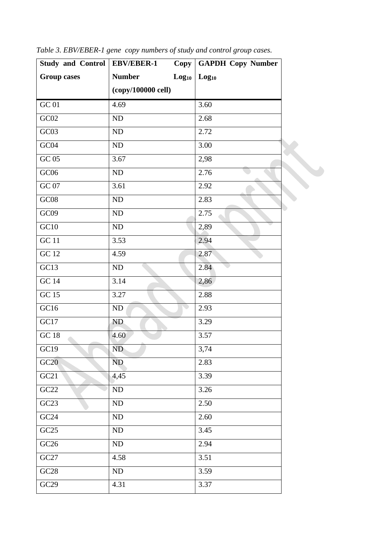| <b>Group cases</b><br><b>Number</b><br>Log <sub>10</sub><br>Log <sub>10</sub><br>(copy/100000 cell)<br>4.69<br>3.60<br>GC02<br>$\rm ND$<br>2.68<br>GC03<br>$\rm ND$<br>2.72<br>GC04<br>${\rm ND}$<br>3.00<br>GC 05<br>3.67<br>2,98<br>GCO6<br>2.76<br>$\rm ND$<br>GC 07<br>3.61<br>2.92<br>$\rm GC08$<br>2.83<br>ND<br>GC09<br>$\rm ND$<br>2.75<br>$\rm ND$<br>2,89<br><b>GC</b> 11<br>3.53<br>2.94<br>4.59<br>2.87<br>ND<br>2.84<br>3.14<br>2,86<br>3.27<br>2.88<br>ND<br>2.93<br>GC17<br>3.29<br>ND.<br>GC 18<br>3.57<br>4.60<br>GC19<br>ND<br>3,74<br>GC20<br><b>ND</b><br>2.83<br>GC21<br>3.39<br>4,45<br>GC22<br>$\rm ND$<br>3.26<br>GC23<br>ND<br>2.50<br>GC24<br>${\rm ND}$<br>2.60<br>GC25<br>ND<br>3.45<br>GC26<br>${\rm ND}$<br>2.94<br>4.58<br>3.51<br>GC28<br>ND<br>3.59<br>GC29<br>4.31<br>3.37 | Study and Control   EBV/EBER-1 | $Copy \vert$ | <b>GAPDH Copy Number</b> |
|--------------------------------------------------------------------------------------------------------------------------------------------------------------------------------------------------------------------------------------------------------------------------------------------------------------------------------------------------------------------------------------------------------------------------------------------------------------------------------------------------------------------------------------------------------------------------------------------------------------------------------------------------------------------------------------------------------------------------------------------------------------------------------------------------------------|--------------------------------|--------------|--------------------------|
|                                                                                                                                                                                                                                                                                                                                                                                                                                                                                                                                                                                                                                                                                                                                                                                                              |                                |              |                          |
|                                                                                                                                                                                                                                                                                                                                                                                                                                                                                                                                                                                                                                                                                                                                                                                                              |                                |              |                          |
|                                                                                                                                                                                                                                                                                                                                                                                                                                                                                                                                                                                                                                                                                                                                                                                                              | $GC$ 01                        |              |                          |
|                                                                                                                                                                                                                                                                                                                                                                                                                                                                                                                                                                                                                                                                                                                                                                                                              |                                |              |                          |
|                                                                                                                                                                                                                                                                                                                                                                                                                                                                                                                                                                                                                                                                                                                                                                                                              |                                |              |                          |
|                                                                                                                                                                                                                                                                                                                                                                                                                                                                                                                                                                                                                                                                                                                                                                                                              |                                |              |                          |
|                                                                                                                                                                                                                                                                                                                                                                                                                                                                                                                                                                                                                                                                                                                                                                                                              |                                |              |                          |
|                                                                                                                                                                                                                                                                                                                                                                                                                                                                                                                                                                                                                                                                                                                                                                                                              |                                |              |                          |
|                                                                                                                                                                                                                                                                                                                                                                                                                                                                                                                                                                                                                                                                                                                                                                                                              |                                |              |                          |
|                                                                                                                                                                                                                                                                                                                                                                                                                                                                                                                                                                                                                                                                                                                                                                                                              |                                |              |                          |
|                                                                                                                                                                                                                                                                                                                                                                                                                                                                                                                                                                                                                                                                                                                                                                                                              |                                |              |                          |
|                                                                                                                                                                                                                                                                                                                                                                                                                                                                                                                                                                                                                                                                                                                                                                                                              | GC10                           |              |                          |
|                                                                                                                                                                                                                                                                                                                                                                                                                                                                                                                                                                                                                                                                                                                                                                                                              |                                |              |                          |
|                                                                                                                                                                                                                                                                                                                                                                                                                                                                                                                                                                                                                                                                                                                                                                                                              | GC 12                          |              |                          |
|                                                                                                                                                                                                                                                                                                                                                                                                                                                                                                                                                                                                                                                                                                                                                                                                              | GC13                           |              |                          |
|                                                                                                                                                                                                                                                                                                                                                                                                                                                                                                                                                                                                                                                                                                                                                                                                              | GC14                           |              |                          |
|                                                                                                                                                                                                                                                                                                                                                                                                                                                                                                                                                                                                                                                                                                                                                                                                              | GC 15                          |              |                          |
|                                                                                                                                                                                                                                                                                                                                                                                                                                                                                                                                                                                                                                                                                                                                                                                                              | GCl6                           |              |                          |
|                                                                                                                                                                                                                                                                                                                                                                                                                                                                                                                                                                                                                                                                                                                                                                                                              |                                |              |                          |
|                                                                                                                                                                                                                                                                                                                                                                                                                                                                                                                                                                                                                                                                                                                                                                                                              |                                |              |                          |
|                                                                                                                                                                                                                                                                                                                                                                                                                                                                                                                                                                                                                                                                                                                                                                                                              |                                |              |                          |
|                                                                                                                                                                                                                                                                                                                                                                                                                                                                                                                                                                                                                                                                                                                                                                                                              |                                |              |                          |
|                                                                                                                                                                                                                                                                                                                                                                                                                                                                                                                                                                                                                                                                                                                                                                                                              |                                |              |                          |
|                                                                                                                                                                                                                                                                                                                                                                                                                                                                                                                                                                                                                                                                                                                                                                                                              |                                |              |                          |
|                                                                                                                                                                                                                                                                                                                                                                                                                                                                                                                                                                                                                                                                                                                                                                                                              |                                |              |                          |
|                                                                                                                                                                                                                                                                                                                                                                                                                                                                                                                                                                                                                                                                                                                                                                                                              |                                |              |                          |
|                                                                                                                                                                                                                                                                                                                                                                                                                                                                                                                                                                                                                                                                                                                                                                                                              |                                |              |                          |
|                                                                                                                                                                                                                                                                                                                                                                                                                                                                                                                                                                                                                                                                                                                                                                                                              |                                |              |                          |
|                                                                                                                                                                                                                                                                                                                                                                                                                                                                                                                                                                                                                                                                                                                                                                                                              | $\rm GC27$                     |              |                          |
|                                                                                                                                                                                                                                                                                                                                                                                                                                                                                                                                                                                                                                                                                                                                                                                                              |                                |              |                          |
|                                                                                                                                                                                                                                                                                                                                                                                                                                                                                                                                                                                                                                                                                                                                                                                                              |                                |              |                          |

*Table 3. EBV/EBER-1 gene copy numbers of study and control group cases.*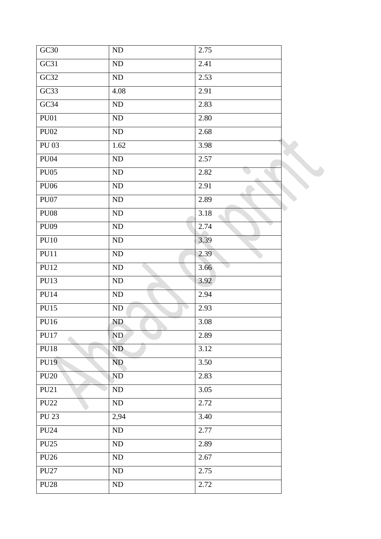| GC30         | $\rm ND$   | 2.75 |  |
|--------------|------------|------|--|
| GC31         | $\rm ND$   | 2.41 |  |
| GC32         | ND         | 2.53 |  |
| GC33         | 4.08       | 2.91 |  |
| GC34         | ND         | 2.83 |  |
| <b>PU01</b>  | $\rm ND$   | 2.80 |  |
| <b>PU02</b>  | $\rm ND$   | 2.68 |  |
| <b>PU 03</b> | 1.62       | 3.98 |  |
| <b>PU04</b>  | ND         | 2.57 |  |
| <b>PU05</b>  | $\rm ND$   | 2.82 |  |
| <b>PU06</b>  | ND         | 2.91 |  |
| <b>PU07</b>  | $\rm ND$   | 2.89 |  |
| <b>PU08</b>  | ND         | 3.18 |  |
| <b>PU09</b>  | ND         | 2.74 |  |
| <b>PU10</b>  | ND         | 3.39 |  |
| PU11         | ND         | 2.39 |  |
| <b>PU12</b>  | ND         | 3.66 |  |
| <b>PU13</b>  | $\rm ND$   | 3.92 |  |
| <b>PU14</b>  | $\rm ND$   | 2.94 |  |
| <b>PU15</b>  | ND         | 2.93 |  |
| <b>PU16</b>  | ND.        | 3.08 |  |
| <b>PU17</b>  | ND         | 2.89 |  |
| <b>PU18</b>  | ND         | 3.12 |  |
| <b>PU19</b>  | ND         | 3.50 |  |
| <b>PU20</b>  | ND         | 2.83 |  |
| <b>PU21</b>  | ND         | 3.05 |  |
| <b>PU22</b>  | ND         | 2.72 |  |
| <b>PU 23</b> | 2,94       | 3.40 |  |
| <b>PU24</b>  | $\rm ND$   | 2.77 |  |
| <b>PU25</b>  | ND         | 2.89 |  |
| <b>PU26</b>  | ${\rm ND}$ | 2.67 |  |
| <b>PU27</b>  | ND         | 2.75 |  |
| <b>PU28</b>  | ND         | 2.72 |  |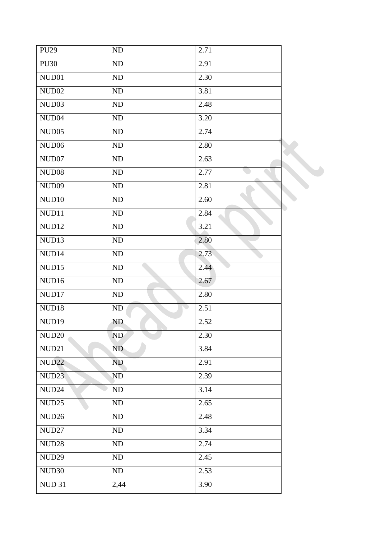| <b>PU29</b>       | ${\rm ND}$ | 2.71 |  |
|-------------------|------------|------|--|
| <b>PU30</b>       | ND         | 2.91 |  |
| NUD01             | ND         | 2.30 |  |
| NUD02             | ND         | 3.81 |  |
| NUD03             | ND         | 2.48 |  |
| NUD <sub>04</sub> | ND         | 3.20 |  |
| NUD05             | ND         | 2.74 |  |
| NUD06             | ND         | 2.80 |  |
| NUD07             | ND         | 2.63 |  |
| NUD08             | ${\rm ND}$ | 2.77 |  |
| NUD09             | ${\rm ND}$ | 2.81 |  |
| NUD10             | ND         | 2.60 |  |
| NUD11             | $\rm ND$   | 2.84 |  |
| NUD12             | ${\rm ND}$ | 3.21 |  |
| NUD13             | ND         | 2.80 |  |
| NUD14             | ND         | 2.73 |  |
| NUD15             | ND         | 2.44 |  |
| NUD16             | ND         | 2.67 |  |
| NUD17             | ND         | 2.80 |  |
| NUD18             | ND         | 2.51 |  |
| NUD19             | ND.        | 2.52 |  |
| NUD <sub>20</sub> | ND         | 2.30 |  |
| NUD21             | ND         | 3.84 |  |
| <b>NUD22</b>      | ND         | 2.91 |  |
| NUD <sub>23</sub> | ND         | 2.39 |  |
| NUD <sub>24</sub> | ND         | 3.14 |  |
| NUD <sub>25</sub> | ND         | 2.65 |  |
| NUD <sub>26</sub> | ${\rm ND}$ | 2.48 |  |
| NUD <sub>27</sub> | ${\rm ND}$ | 3.34 |  |
| NUD <sub>28</sub> | ND         | 2.74 |  |
| NUD <sub>29</sub> | ND         | 2.45 |  |
| NUD <sub>30</sub> | ND         | 2.53 |  |
| <b>NUD 31</b>     | 2,44       | 3.90 |  |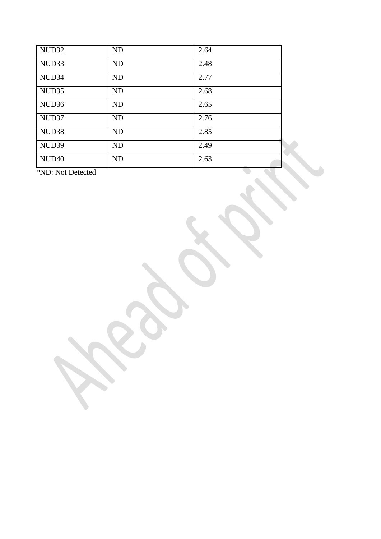| NUD32             | <b>ND</b> | 2.64                                      |
|-------------------|-----------|-------------------------------------------|
| NUD33             | ND        | 2.48                                      |
| NUD34             | ND        | 2.77                                      |
| NUD <sub>35</sub> | <b>ND</b> | 2.68                                      |
| NUD <sub>36</sub> | ND        | 2.65                                      |
| NUD37             | <b>ND</b> | 2.76                                      |
| NUD <sub>38</sub> | <b>ND</b> | 2.85                                      |
| NUD39             | ND        | 2.49                                      |
| NUD <sub>40</sub> | ND        | 2.63<br><b>Contract Contract Contract</b> |

\*ND: Not Detected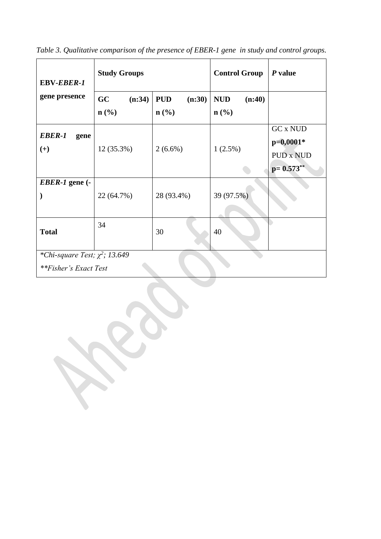| <b>EBV-EBER-1</b>                                            | <b>Study Groups</b>              |                                                     | <b>Control Group</b>                     | $P$ value                                                         |  |  |
|--------------------------------------------------------------|----------------------------------|-----------------------------------------------------|------------------------------------------|-------------------------------------------------------------------|--|--|
| gene presence                                                | (n:34)<br>GC<br>$\mathbf{n}(\%)$ | <b>PUD</b><br>(n:30)<br>$n\left(\frac{0}{0}\right)$ | <b>NUD</b><br>(n:40)<br>$\mathbf{n}(\%)$ |                                                                   |  |  |
| EBER-1<br>gene<br>$(+)$                                      | 12 (35.3%)                       | $2(6.6\%)$                                          | 1(2.5%)                                  | <b>GC x NUD</b><br>$p=0,0001*$<br><b>PUD x NUD</b><br>$p=0.573**$ |  |  |
| $EBER-1$ gene $(-$                                           | 22 (64.7%)                       | 28 (93.4%)                                          | 39 (97.5%)                               |                                                                   |  |  |
| <b>Total</b>                                                 | 34                               | 30                                                  | 40                                       |                                                                   |  |  |
| *Chi-square Test; $\chi^2$ ; 13.649<br>**Fisher's Exact Test |                                  |                                                     |                                          |                                                                   |  |  |

*Table 3. Qualitative comparison of the presence of EBER-1 gene in study and control groups.*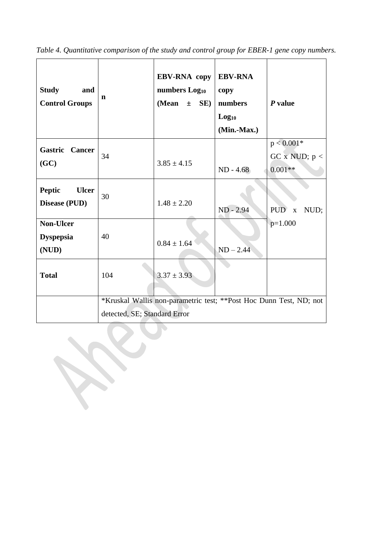| <b>Study</b><br>and<br><b>Control Groups</b>   | n                                                                                                  | <b>EBV-RNA</b> copy<br>numbers Log <sub>10</sub><br>(Mean<br>SE)<br>$\pm$ | <b>EBV-RNA</b><br>copy<br>numbers<br>Log <sub>10</sub><br>(Min.-Max.) | $P$ value                                                  |  |
|------------------------------------------------|----------------------------------------------------------------------------------------------------|---------------------------------------------------------------------------|-----------------------------------------------------------------------|------------------------------------------------------------|--|
| Gastric Cancer<br>(GC)                         | 34                                                                                                 | $3.85 \pm 4.15$                                                           | $ND - 4.68$                                                           | $p < 0.001*$<br>GC $\bar{x}$ NUD; $\bar{p}$ <<br>$0.001**$ |  |
| <b>Peptic</b><br><b>Ulcer</b><br>Disease (PUD) | 30                                                                                                 | $1.48 \pm 2.20$                                                           | ND - 2.94                                                             | PUD <sup></sup><br>NUD;<br>$\mathbf{x}$                    |  |
| <b>Non-Ulcer</b><br><b>Dyspepsia</b><br>(NUD)  | 40                                                                                                 | $0.84 \pm 1.64$                                                           | $ND - 2.44$                                                           | $p=1.000$                                                  |  |
| <b>Total</b>                                   | 104                                                                                                | $3.37 \pm 3.93$                                                           |                                                                       |                                                            |  |
|                                                | *Kruskal Wallis non-parametric test; **Post Hoc Dunn Test, ND; not<br>detected, SE; Standard Error |                                                                           |                                                                       |                                                            |  |

*Table 4. Quantitative comparison of the study and control group for EBER-1 gene copy numbers.*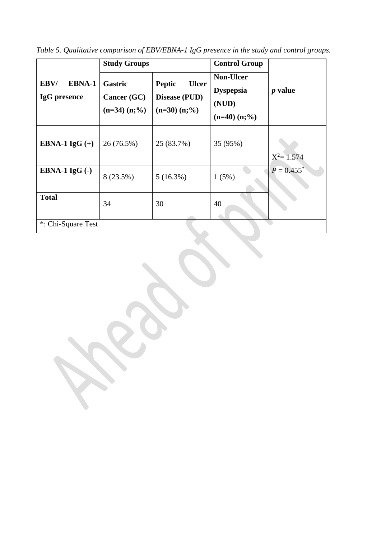*Table 5. Qualitative comparison of EBV/EBNA-1 IgG presence in the study and control groups.*

|                                       | <b>Study Groups</b>                            |                                                                      | <b>Control Group</b>                                                |                          |
|---------------------------------------|------------------------------------------------|----------------------------------------------------------------------|---------------------------------------------------------------------|--------------------------|
| <b>EBNA-1</b><br>EBV/<br>IgG presence | Gastric<br>Cancer $(GC)$<br>$(n=34)$ $(n; \%)$ | <b>Peptic</b><br><b>Ulcer</b><br>Disease (PUD)<br>$(n=30)$ $(n; \%)$ | <b>Non-Ulcer</b><br><b>Dyspepsia</b><br>(NUD)<br>$(n=40)$ $(n; \%)$ | $p$ value                |
| EBNA-1 $IgG (+)$                      | 26 (76.5%)                                     | 25 (83.7%)                                                           | 35 (95%)                                                            | $X^2 = 1.574$            |
| EBNA-1 $IgG(.)$                       | 8 (23.5%)                                      | $5(16.3\%)$                                                          | 1(5%)                                                               | $P = 0.455$ <sup>*</sup> |
| <b>Total</b>                          | 34                                             | 30                                                                   | 40                                                                  |                          |
| *: Chi-Square Test                    |                                                |                                                                      |                                                                     |                          |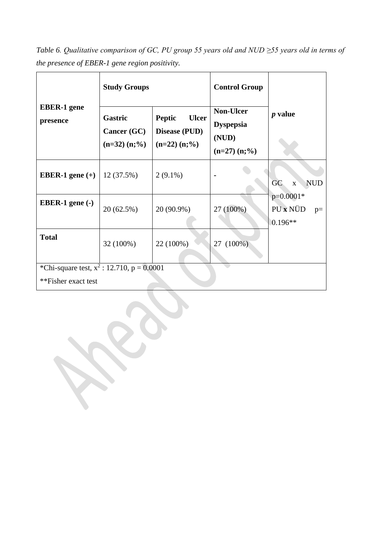*Table 6. Qualitative comparison of GC, PU group 55 years old and NUD ≥55 years old in terms of the presence of EBER-1 gene region positivity.*

|                                                                       | <b>Study Groups</b>                                        |                                                                            | <b>Control Group</b>                                                |                                              |
|-----------------------------------------------------------------------|------------------------------------------------------------|----------------------------------------------------------------------------|---------------------------------------------------------------------|----------------------------------------------|
| <b>EBER-1</b> gene<br>presence                                        | <b>Gastric</b><br><b>Cancer (GC)</b><br>$(n=32)$ $(n; \%)$ | <b>Peptic</b><br><b>Ulcer</b><br><b>Disease (PUD)</b><br>$(n=22)$ $(n;\%)$ | <b>Non-Ulcer</b><br><b>Dyspepsia</b><br>(NUD)<br>$(n=27)$ $(n; \%)$ | $p$ value                                    |
| EBER-1 gene $(+)$                                                     | 12(37.5%)                                                  | $2(9.1\%)$                                                                 |                                                                     | <b>GC</b><br><b>NUD</b><br>$\mathbf X$       |
| EBER-1 gene $(-)$                                                     | 20 (62.5%)                                                 | 20 (90.9%)                                                                 | 27 (100%)                                                           | $p=0.0001*$<br>PU x NÜD<br>$p=$<br>$0.196**$ |
| <b>Total</b>                                                          | 32 (100%)                                                  | 22 (100%)                                                                  | $27(100\%)$                                                         |                                              |
| *Chi-square test, $x^2$ : 12.710, $p = 0.0001$<br>**Fisher exact test |                                                            |                                                                            |                                                                     |                                              |